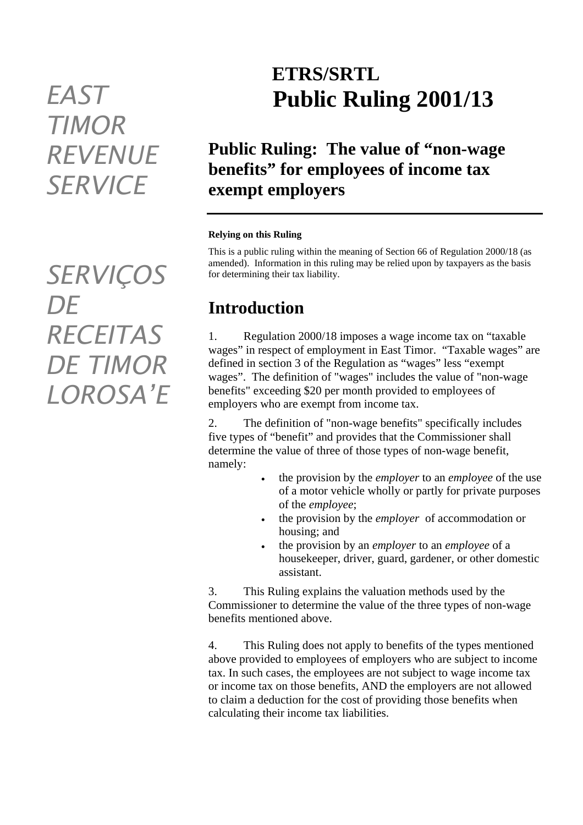# *TIMOR REVENUE SERVICE*

*SERVIÇOS DE RECEITAS DE TIMOR LOROSA'E* 

## **ETRS/SRTL** *EAST* **Public Ruling 2001/13**

### **Public Ruling: The value of "non-wage benefits" for employees of income tax exempt employers**

#### **Relying on this Ruling**

This is a public ruling within the meaning of Section 66 of Regulation 2000/18 (as amended). Information in this ruling may be relied upon by taxpayers as the basis for determining their tax liability.

### **Introduction**

1. Regulation 2000/18 imposes a wage income tax on "taxable wages" in respect of employment in East Timor. "Taxable wages" are defined in section 3 of the Regulation as "wages" less "exempt wages". The definition of "wages" includes the value of "non-wage benefits" exceeding \$20 per month provided to employees of employers who are exempt from income tax.

2. The definition of "non-wage benefits" specifically includes five types of "benefit" and provides that the Commissioner shall determine the value of three of those types of non-wage benefit, namely:

- the provision by the *employer* to an *employee* of the use of a motor vehicle wholly or partly for private purposes of the *employee*;
- the provision by the *employer* of accommodation or housing; and
- the provision by an *employer* to an *employee* of a housekeeper, driver, guard, gardener, or other domestic assistant.

3. This Ruling explains the valuation methods used by the Commissioner to determine the value of the three types of non-wage benefits mentioned above.

4. This Ruling does not apply to benefits of the types mentioned above provided to employees of employers who are subject to income tax. In such cases, the employees are not subject to wage income tax or income tax on those benefits, AND the employers are not allowed to claim a deduction for the cost of providing those benefits when calculating their income tax liabilities.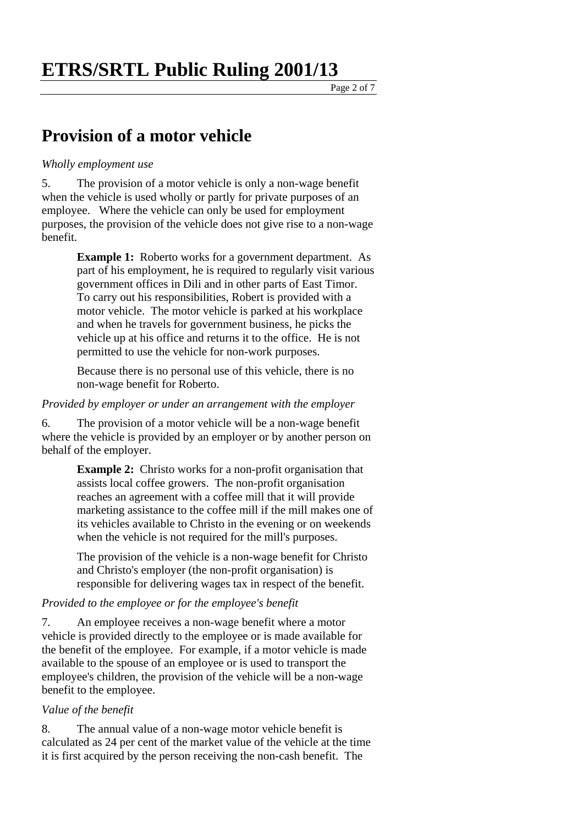Page 2 of 7

### **Provision of a motor vehicle**

#### *Wholly employment use*

5. The provision of a motor vehicle is only a non-wage benefit when the vehicle is used wholly or partly for private purposes of an employee. Where the vehicle can only be used for employment purposes, the provision of the vehicle does not give rise to a non-wage benefit.

> **Example 1:** Roberto works for a government department. As part of his employment, he is required to regularly visit various government offices in Dili and in other parts of East Timor. To carry out his responsibilities, Robert is provided with a motor vehicle. The motor vehicle is parked at his workplace and when he travels for government business, he picks the vehicle up at his office and returns it to the office. He is not permitted to use the vehicle for non-work purposes.

Because there is no personal use of this vehicle, there is no non-wage benefit for Roberto.

#### *Provided by employer or under an arrangement with the employer*

6. The provision of a motor vehicle will be a non-wage benefit where the vehicle is provided by an employer or by another person on behalf of the employer.

> **Example 2:** Christo works for a non-profit organisation that assists local coffee growers. The non-profit organisation reaches an agreement with a coffee mill that it will provide marketing assistance to the coffee mill if the mill makes one of its vehicles available to Christo in the evening or on weekends when the vehicle is not required for the mill's purposes.

The provision of the vehicle is a non-wage benefit for Christo and Christo's employer (the non-profit organisation) is responsible for delivering wages tax in respect of the benefit.

### *Provided to the employee or for the employee's benefit*

7. An employee receives a non-wage benefit where a motor vehicle is provided directly to the employee or is made available for the benefit of the employee. For example, if a motor vehicle is made available to the spouse of an employee or is used to transport the employee's children, the provision of the vehicle will be a non-wage benefit to the employee.

#### *Value of the benefit*

8. The annual value of a non-wage motor vehicle benefit is calculated as 24 per cent of the market value of the vehicle at the time it is first acquired by the person receiving the non-cash benefit. The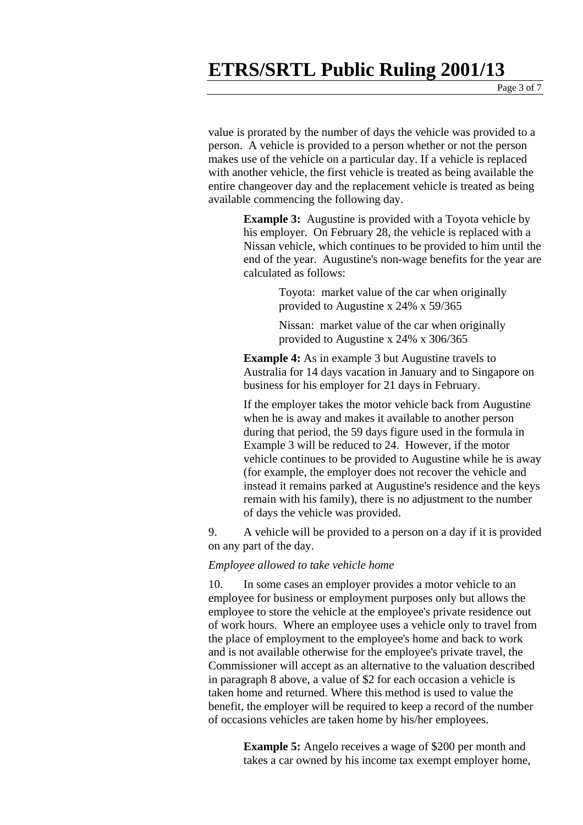Page 3 of 7

value is prorated by the number of days the vehicle was provided to a person. A vehicle is provided to a person whether or not the person makes use of the vehicle on a particular day. If a vehicle is replaced with another vehicle, the first vehicle is treated as being available the entire changeover day and the replacement vehicle is treated as being available commencing the following day.

> **Example 3:** Augustine is provided with a Toyota vehicle by his employer. On February 28, the vehicle is replaced with a Nissan vehicle, which continues to be provided to him until the end of the year. Augustine's non-wage benefits for the year are calculated as follows:

> > Toyota: market value of the car when originally provided to Augustine x 24% x 59/365

> > Nissan: market value of the car when originally provided to Augustine x 24% x 306/365

**Example 4:** As in example 3 but Augustine travels to Australia for 14 days vacation in January and to Singapore on business for his employer for 21 days in February.

If the employer takes the motor vehicle back from Augustine when he is away and makes it available to another person during that period, the 59 days figure used in the formula in Example 3 will be reduced to 24. However, if the motor vehicle continues to be provided to Augustine while he is away (for example, the employer does not recover the vehicle and instead it remains parked at Augustine's residence and the keys remain with his family), there is no adjustment to the number of days the vehicle was provided.

9. A vehicle will be provided to a person on a day if it is provided on any part of the day.

#### *Employee allowed to take vehicle home*

10. In some cases an employer provides a motor vehicle to an employee for business or employment purposes only but allows the employee to store the vehicle at the employee's private residence out of work hours. Where an employee uses a vehicle only to travel from the place of employment to the employee's home and back to work and is not available otherwise for the employee's private travel, the Commissioner will accept as an alternative to the valuation described in paragraph 8 above, a value of \$2 for each occasion a vehicle is taken home and returned. Where this method is used to value the benefit, the employer will be required to keep a record of the number of occasions vehicles are taken home by his/her employees.

> **Example 5:** Angelo receives a wage of \$200 per month and takes a car owned by his income tax exempt employer home,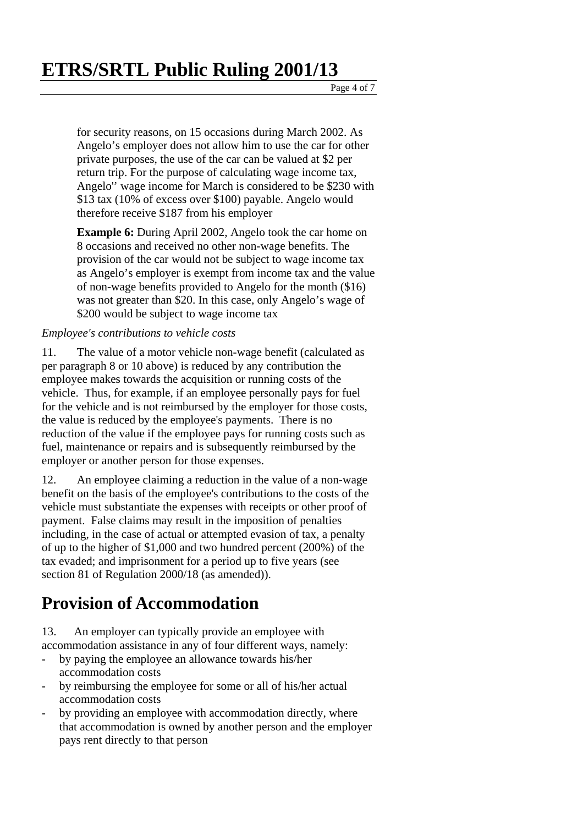Page 4 of 7

for security reasons, on 15 occasions during March 2002. As Angelo's employer does not allow him to use the car for other private purposes, the use of the car can be valued at \$2 per return trip. For the purpose of calculating wage income tax, Angelo'' wage income for March is considered to be \$230 with \$13 tax (10% of excess over \$100) payable. Angelo would therefore receive \$187 from his employer

**Example 6:** During April 2002, Angelo took the car home on 8 occasions and received no other non-wage benefits. The provision of the car would not be subject to wage income tax as Angelo's employer is exempt from income tax and the value of non-wage benefits provided to Angelo for the month (\$16) was not greater than \$20. In this case, only Angelo's wage of \$200 would be subject to wage income tax

### *Employee's contributions to vehicle costs*

11. The value of a motor vehicle non-wage benefit (calculated as per paragraph 8 or 10 above) is reduced by any contribution the employee makes towards the acquisition or running costs of the vehicle. Thus, for example, if an employee personally pays for fuel for the vehicle and is not reimbursed by the employer for those costs, the value is reduced by the employee's payments. There is no reduction of the value if the employee pays for running costs such as fuel, maintenance or repairs and is subsequently reimbursed by the employer or another person for those expenses.

12. An employee claiming a reduction in the value of a non-wage benefit on the basis of the employee's contributions to the costs of the vehicle must substantiate the expenses with receipts or other proof of payment. False claims may result in the imposition of penalties including, in the case of actual or attempted evasion of tax, a penalty of up to the higher of \$1,000 and two hundred percent (200%) of the tax evaded; and imprisonment for a period up to five years (see section 81 of Regulation 2000/18 (as amended)).

### **Provision of Accommodation**

13. An employer can typically provide an employee with accommodation assistance in any of four different ways, namely:

- by paying the employee an allowance towards his/her accommodation costs
- by reimbursing the employee for some or all of his/her actual accommodation costs
- by providing an employee with accommodation directly, where that accommodation is owned by another person and the employer pays rent directly to that person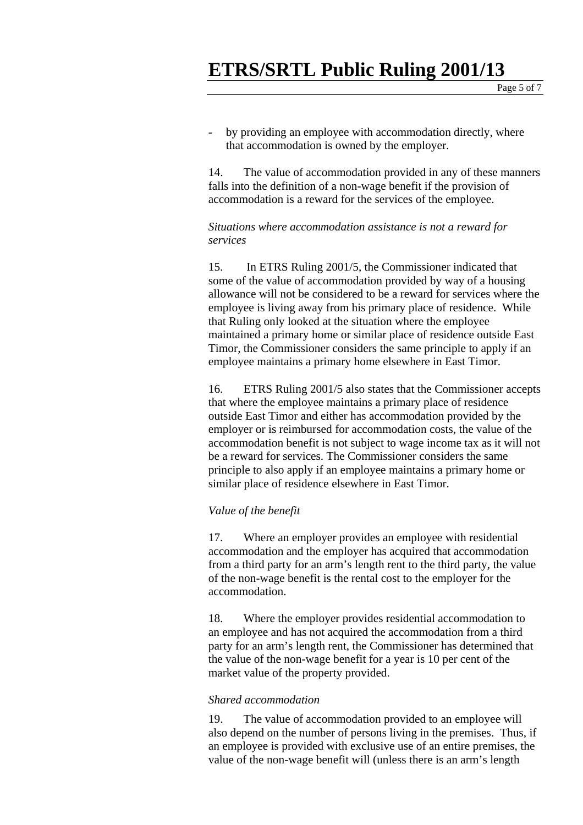Page 5 of 7

by providing an employee with accommodation directly, where that accommodation is owned by the employer.

14. The value of accommodation provided in any of these manners falls into the definition of a non-wage benefit if the provision of accommodation is a reward for the services of the employee.

*Situations where accommodation assistance is not a reward for services* 

15. In ETRS Ruling 2001/5, the Commissioner indicated that some of the value of accommodation provided by way of a housing allowance will not be considered to be a reward for services where the employee is living away from his primary place of residence. While that Ruling only looked at the situation where the employee maintained a primary home or similar place of residence outside East Timor, the Commissioner considers the same principle to apply if an employee maintains a primary home elsewhere in East Timor.

16. ETRS Ruling 2001/5 also states that the Commissioner accepts that where the employee maintains a primary place of residence outside East Timor and either has accommodation provided by the employer or is reimbursed for accommodation costs, the value of the accommodation benefit is not subject to wage income tax as it will not be a reward for services. The Commissioner considers the same principle to also apply if an employee maintains a primary home or similar place of residence elsewhere in East Timor.

#### *Value of the benefit*

17. Where an employer provides an employee with residential accommodation and the employer has acquired that accommodation from a third party for an arm's length rent to the third party, the value of the non-wage benefit is the rental cost to the employer for the accommodation.

18. Where the employer provides residential accommodation to an employee and has not acquired the accommodation from a third party for an arm's length rent, the Commissioner has determined that the value of the non-wage benefit for a year is 10 per cent of the market value of the property provided.

#### *Shared accommodation*

19. The value of accommodation provided to an employee will also depend on the number of persons living in the premises. Thus, if an employee is provided with exclusive use of an entire premises, the value of the non-wage benefit will (unless there is an arm's length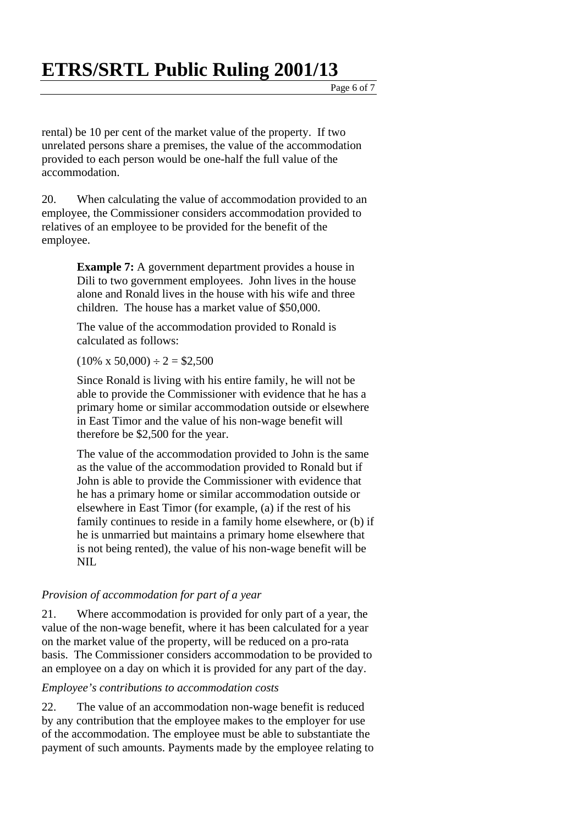Page 6 of 7

rental) be 10 per cent of the market value of the property. If two unrelated persons share a premises, the value of the accommodation provided to each person would be one-half the full value of the accommodation.

20. When calculating the value of accommodation provided to an employee, the Commissioner considers accommodation provided to relatives of an employee to be provided for the benefit of the employee.

> **Example 7:** A government department provides a house in Dili to two government employees. John lives in the house alone and Ronald lives in the house with his wife and three children. The house has a market value of \$50,000.

The value of the accommodation provided to Ronald is calculated as follows:

### $(10\% \times 50,000) \div 2 = $2,500$

Since Ronald is living with his entire family, he will not be able to provide the Commissioner with evidence that he has a primary home or similar accommodation outside or elsewhere in East Timor and the value of his non-wage benefit will therefore be \$2,500 for the year.

The value of the accommodation provided to John is the same as the value of the accommodation provided to Ronald but if John is able to provide the Commissioner with evidence that he has a primary home or similar accommodation outside or elsewhere in East Timor (for example, (a) if the rest of his family continues to reside in a family home elsewhere, or (b) if he is unmarried but maintains a primary home elsewhere that is not being rented), the value of his non-wage benefit will be NIL

### *Provision of accommodation for part of a year*

21. Where accommodation is provided for only part of a year, the value of the non-wage benefit, where it has been calculated for a year on the market value of the property, will be reduced on a pro-rata basis. The Commissioner considers accommodation to be provided to an employee on a day on which it is provided for any part of the day.

### *Employee's contributions to accommodation costs*

22. The value of an accommodation non-wage benefit is reduced by any contribution that the employee makes to the employer for use of the accommodation. The employee must be able to substantiate the payment of such amounts. Payments made by the employee relating to